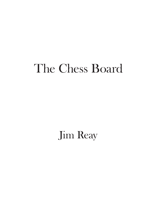# The Chess Board

Jim Reay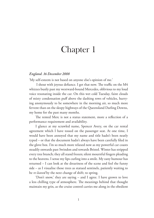#### *England. 16 December 2008*

'My self-esteem is not based on anyone else's opinion of me.'

I shout with joyous defiance. I get that now. The traffic on the M4 whizzes busily past my westward-bound Mercedes, oblivious to my loud voice resonating inside the car. On this wet cold Tuesday, faint clouds of misty condensation puf above the dashing rows of vehicles, hurrying anonymously to be somewhere in the morning air, so much more fervent than on the sleepy highways of the Queensland Darling Downs, my home for the past many months.

The rented Merc is not a status statement, more a reflection of a performance requirement and availability.

I glance at my scrawled name, Spencer Avery, on the car rental agreement which I have tossed on the passenger seat. At one time, I would have been annoyed that my name and title hadn't been neatly typed – or that the document hadn't always have been carefully fled in the glove box. I'm so much more relaxed now as my powerful car coasts steadily onwards past Swindon and towards Bristol. Winter has stripped every tree branch; they all stand frozen; silent mournful fngers pleading to the heavens. I sense my lips curling into a smile. My zany humour has returned – I can look at the dreariness of the scene and feel the funny side – as I visualise those trees as statued sentinels, patiently waiting to be *re-leaved* by the next change of shift; to spring.

'Don't snow,' they are saying – and I agree. I have grown to love a less chilling type of atmosphere. The meanings behind that thought maintain my grin, as the cruise control carries me along in the obedient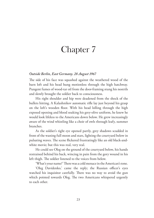#### *Outside Berlin, East Germany. 28 August 1967*

The side of his face was squashed against the weathered wood of the barn loft and his head hung motionless through the high hatchway. Pungent fumes of wood-tar oil from the door-framing stung his nostrils and slowly brought the soldier back to consciousness.

His right shoulder and hip were deadened from the shock of the bullets hitting. A Kalashnikov automatic rife lay just beyond his grasp on the loft's wooden foor. With his head lolling through the high exposed opening and blood soaking his grey-olive uniform, he knew he would look lifeless to the Americans down below. He grew increasingly aware of the wind whistling like a choir of owls through leafy, summer branches.

As the soldier's right eye opened partly, grey shadows scudded in front of the waning full moon and stars, lighting the courtyard below in pulsating waves. The scene flickered frustratingly like an old black-andwhite movie; but this was real, very real.

He could see Oleg on the ground of the courtyard below, his hands restrained behind his back, wincing in pain from the gory wound in his left thigh. The soldier listened to the voices from below.

'What's your name?' There was a cold menace in the American's tone.

'Oleg Davidenko,' came the reply; the Russian officer's eyes watched his inquisitor carefully. There was no way to avoid the gun which pointed towards Oleg. The two Americans whispered urgently to each other.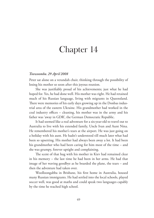### *Toowoomba. 29 April 2008*

Peter sat alone on a verandah chair, thinking through the possibility of losing his mother so soon after this joyous reunion.

She was justifably proud of his achievements; just what he had hoped for. Yes, he had done well. His mother was right. He had retained much of his Russian language, living with migrants in Queensland. There were memories of his early days growing up in the Donbas industrial area of the eastern Ukraine. His grandmother had worked in the coal industry offices - cleaning, his mother was in the army and his father was 'away in GDR', the German Democratic Republic.

It had seemed like a real adventure for a six-year-old to travel out to Australia to live with his extended family, Uncle Ivan and Aunt Nina. He remembered his mother's tears at the airport. He was just going on a holiday with his aunt. He hadn't understood till much later what had been so upsetting. His mother had always been away a lot. It had been his grandmother who had been caring for him most of the time – and she was grumpy, forever uptight and complaining.

The scent of that hug with his mother in Kiev had remained clear in his memory – the last time he had been in her arms. He had that image of her waving goodbye as he boarded the plane, the tears – and then the adventure had taken over.

Woolloongabba in Brisbane, his frst home in Australia, housed many Russian immigrants. He had settled into the local schools, played soccer well, was good at maths and could speak two languages capably by the time he reached high school.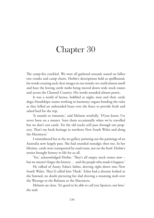The camp-fire crackled. We were all gathered around; seated on fallen tree trunks and camp chairs. Herbie's descriptions held us spellbound, his words creating such clear images in our minds; we could almost smell and hear the lowing cattle mobs being moved down wide stock routes and across the Channel Country. His words sounded almost poetic.

It was a world of horses, hobbled at night; men and their cattle dogs; friendships; teams working in harmony; rogues bending the rules as they killed an unbranded beast over the fence to provide fresh and salted beef for the trip.

'It sounds so romantic,' said Melanie wistfully. 'D'you know, I've never been on a muster. Seen them occasionally when we've travelled but we don't run cattle. Yet the old tracks still pass through our property. That's my bush heritage in northern New South Wales and along the Macintyre.'

I remembered her at the art gallery pointing out the paintings of an Australia now largely past. She had sounded nostalgic then too. In her lifetime, cattle were transported by road-train, not on the hoof. Herbie's stories brought history to life for us all.

'Yes,' acknowledged Herbie. 'They's all empty stock routes now but we mustn't forget the history … and the people who made it happen.'

He talked of Aunty Edna's father, droving right down into New South Wales. They'd called him 'Husk'. Edna had a dreamy looked as she listened, no doubt picturing her dad droving a steaming mob over the Warrego or the Balonne or the Macintyre.

Melanie sat close. 'It's good to be able to call you Spencer, out here,' she said.